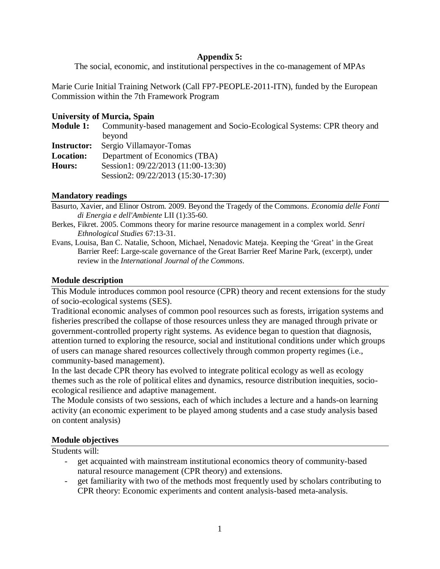## **Appendix 5:**

The social, economic, and institutional perspectives in the co-management of MPAs

Marie Curie Initial Training Network (Call FP7-PEOPLE-2011-ITN), funded by the European Commission within the 7th Framework Program

#### **University of Murcia, Spain**

| <b>Module 1:</b>   | Community-based management and Socio-Ecological Systems: CPR theory and |
|--------------------|-------------------------------------------------------------------------|
|                    | beyond                                                                  |
| <b>Instructor:</b> | Sergio Villamayor-Tomas                                                 |
| <b>Location:</b>   | Department of Economics (TBA)                                           |
| <b>Hours:</b>      | Session1: 09/22/2013 (11:00-13:30)                                      |
|                    | Session2: 09/22/2013 (15:30-17:30)                                      |

## **Mandatory readings**

Basurto, Xavier, and Elinor Ostrom. 2009. Beyond the Tragedy of the Commons. *Economia delle Fonti di Energia e dell'Ambiente* LII (1):35-60.

- Berkes, Fikret. 2005. Commons theory for marine resource management in a complex world. *Senri Ethnological Studies* 67:13-31.
- Evans, Louisa, Ban C. Natalie, Schoon, Michael, Nenadovic Mateja. Keeping the 'Great' in the Great Barrier Reef: Large-scale governance of the Great Barrier Reef Marine Park, (excerpt), under review in the *International Journal of the Commons*.

## **Module description**

This Module introduces common pool resource (CPR) theory and recent extensions for the study of socio-ecological systems (SES).

Traditional economic analyses of common pool resources such as forests, irrigation systems and fisheries prescribed the collapse of those resources unless they are managed through private or government-controlled property right systems. As evidence began to question that diagnosis, attention turned to exploring the resource, social and institutional conditions under which groups of users can manage shared resources collectively through common property regimes (i.e., community-based management).

In the last decade CPR theory has evolved to integrate political ecology as well as ecology themes such as the role of political elites and dynamics, resource distribution inequities, socioecological resilience and adaptive management.

The Module consists of two sessions, each of which includes a lecture and a hands-on learning activity (an economic experiment to be played among students and a case study analysis based on content analysis)

## **Module objectives**

Students will:

- get acquainted with mainstream institutional economics theory of community-based natural resource management (CPR theory) and extensions.
- get familiarity with two of the methods most frequently used by scholars contributing to CPR theory: Economic experiments and content analysis-based meta-analysis.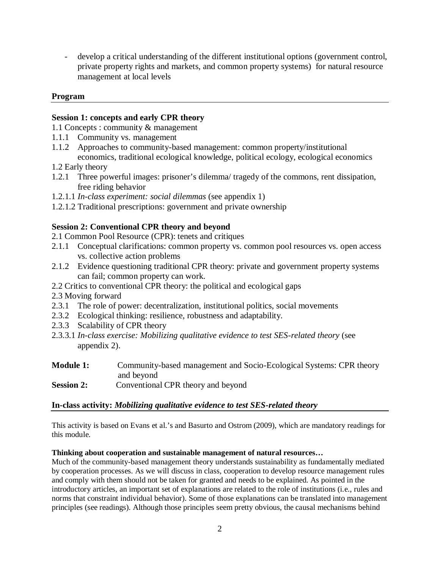- develop a critical understanding of the different institutional options (government control, private property rights and markets, and common property systems) for natural resource management at local levels

# **Program**

#### **Session 1: concepts and early CPR theory**

1.1 Concepts : community & management

- 1.1.1 Community vs. management
- 1.1.2 Approaches to community-based management: common property/institutional economics, traditional ecological knowledge, political ecology, ecological economics
- 1.2 Early theory
- 1.2.1 Three powerful images: prisoner's dilemma/ tragedy of the commons, rent dissipation, free riding behavior
- 1.2.1.1 *In-class experiment: social dilemmas* (see appendix 1)
- 1.2.1.2 Traditional prescriptions: government and private ownership

## **Session 2: Conventional CPR theory and beyond**

- 2.1 Common Pool Resource (CPR): tenets and critiques
- 2.1.1 Conceptual clarifications: common property vs. common pool resources vs. open access vs. collective action problems
- 2.1.2 Evidence questioning traditional CPR theory: private and government property systems can fail; common property can work.
- 2.2 Critics to conventional CPR theory: the political and ecological gaps
- 2.3 Moving forward
- 2.3.1 The role of power: decentralization, institutional politics, social movements
- 2.3.2 Ecological thinking: resilience, robustness and adaptability.
- 2.3.3 Scalability of CPR theory
- 2.3.3.1 *In-class exercise: Mobilizing qualitative evidence to test SES-related theory* (see appendix 2).

| <b>Module 1:</b>  | Community-based management and Socio-Ecological Systems: CPR theory |
|-------------------|---------------------------------------------------------------------|
|                   | and beyond                                                          |
| <b>Session 2:</b> | Conventional CPR theory and beyond                                  |

# **In-class activity:** *Mobilizing qualitative evidence to test SES-related theory*

This activity is based on Evans et al.'s and Basurto and Ostrom (2009), which are mandatory readings for this module.

#### **Thinking about cooperation and sustainable management of natural resources…**

Much of the community-based management theory understands sustainability as fundamentally mediated by cooperation processes. As we will discuss in class, cooperation to develop resource management rules and comply with them should not be taken for granted and needs to be explained. As pointed in the introductory articles, an important set of explanations are related to the role of institutions (i.e., rules and norms that constraint individual behavior). Some of those explanations can be translated into management principles (see readings). Although those principles seem pretty obvious, the causal mechanisms behind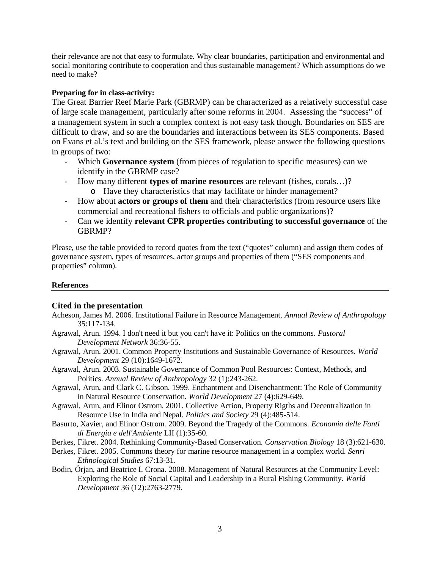their relevance are not that easy to formulate. Why clear boundaries, participation and environmental and social monitoring contribute to cooperation and thus sustainable management? Which assumptions do we need to make?

#### **Preparing for in class-activity:**

The Great Barrier Reef Marie Park (GBRMP) can be characterized as a relatively successful case of large scale management, particularly after some reforms in 2004. Assessing the "success" of a management system in such a complex context is not easy task though. Boundaries on SES are difficult to draw, and so are the boundaries and interactions between its SES components. Based on Evans et al.'s text and building on the SES framework, please answer the following questions in groups of two:

- Which **Governance system** (from pieces of regulation to specific measures) can we identify in the GBRMP case?
- How many different **types of marine resources** are relevant (fishes, corals…)? o Have they characteristics that may facilitate or hinder management?
- How about **actors or groups of them** and their characteristics (from resource users like commercial and recreational fishers to officials and public organizations)?
- Can we identify **relevant CPR properties contributing to successful governance** of the GBRMP?

Please, use the table provided to record quotes from the text ("quotes" column) and assign them codes of governance system, types of resources, actor groups and properties of them ("SES components and properties" column).

#### **References**

## **Cited in the presentation**

- Acheson, James M. 2006. Institutional Failure in Resource Management. *Annual Review of Anthropology* 35:117-134.
- Agrawal, Arun. 1994. I don't need it but you can't have it: Politics on the commons. *Pastoral Development Network* 36:36-55.
- Agrawal, Arun. 2001. Common Property Institutions and Sustainable Governance of Resources. *World Development* 29 (10):1649-1672.
- Agrawal, Arun. 2003. Sustainable Governance of Common Pool Resources: Context, Methods, and Politics. *Annual Review of Anthropology* 32 (1):243-262.
- Agrawal, Arun, and Clark C. Gibson. 1999. Enchantment and Disenchantment: The Role of Community in Natural Resource Conservation. *World Development* 27 (4):629-649.
- Agrawal, Arun, and Elinor Ostrom. 2001. Collective Action, Property Rigths and Decentralization in Resource Use in India and Nepal. *Politics and Society* 29 (4):485-514.
- Basurto, Xavier, and Elinor Ostrom. 2009. Beyond the Tragedy of the Commons. *Economia delle Fonti di Energia e dell'Ambiente* LII (1):35-60.
- Berkes, Fikret. 2004. Rethinking Community-Based Conservation. *Conservation Biology* 18 (3):621-630.
- Berkes, Fikret. 2005. Commons theory for marine resource management in a complex world. *Senri Ethnological Studies* 67:13-31.
- Bodin, Örjan, and Beatrice I. Crona. 2008. Management of Natural Resources at the Community Level: Exploring the Role of Social Capital and Leadership in a Rural Fishing Community. *World Development* 36 (12):2763-2779.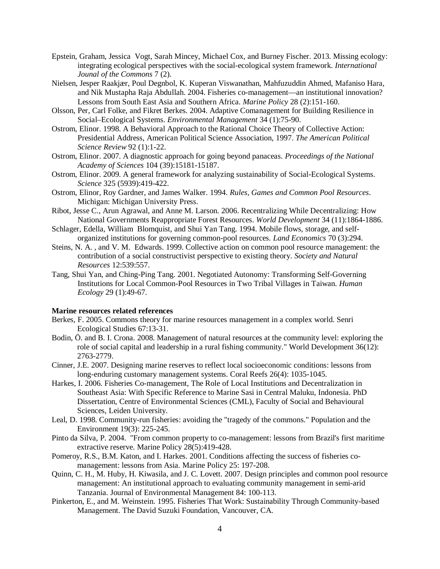- Epstein, Graham, Jessica Vogt, Sarah Mincey, Michael Cox, and Burney Fischer. 2013. Missing ecology: integrating ecological perspectives with the social-ecological system framework. *International Jounal of the Commons* 7 (2).
- Nielsen, Jesper Raakjær, Poul Degnbol, K. Kuperan Viswanathan, Mahfuzuddin Ahmed, Mafaniso Hara, and Nik Mustapha Raja Abdullah. 2004. Fisheries co-management—an institutional innovation? Lessons from South East Asia and Southern Africa. *Marine Policy* 28 (2):151-160.
- Olsson, Per, Carl Folke, and Fikret Berkes. 2004. Adaptive Comanagement for Building Resilience in Social–Ecological Systems. *Environmental Management* 34 (1):75-90.
- Ostrom, Elinor. 1998. A Behavioral Approach to the Rational Choice Theory of Collective Action: Presidential Address, American Political Science Association, 1997. *The American Political Science Review* 92 (1):1-22.
- Ostrom, Elinor. 2007. A diagnostic approach for going beyond panaceas. *Proceedings of the National Academy of Sciences* 104 (39):15181-15187.
- Ostrom, Elinor. 2009. A general framework for analyzing sustainability of Social-Ecological Systems. *Science* 325 (5939):419-422.
- Ostrom, Elinor, Roy Gardner, and James Walker. 1994. *Rules, Games and Common Pool Resources*. Michigan: Michigan University Press.
- Ribot, Jesse C., Arun Agrawal, and Anne M. Larson. 2006. Recentralizing While Decentralizing: How National Governments Reappropriate Forest Resources. *World Development* 34 (11):1864-1886.
- Schlager, Edella, William Blomquist, and Shui Yan Tang. 1994. Mobile flows, storage, and selforganized institutions for governing common-pool resources. *Land Economics* 70 (3):294.
- Steins, N. A. , and V. M. Edwards. 1999. Collective action on common pool resource management: the contribution of a social constructivist perspective to existing theory. *Society and Natural Resources* 12:539:557.
- Tang, Shui Yan, and Ching-Ping Tang. 2001. Negotiated Autonomy: Transforming Self-Governing Institutions for Local Common-Pool Resources in Two Tribal Villages in Taiwan. *Human Ecology* 29 (1):49-67.

#### **Marine resources related references**

- Berkes, F. 2005. Commons theory for marine resources management in a complex world. Senri Ecological Studies 67:13-31.
- Bodin, Ö. and B. I. Crona. 2008. Management of natural resources at the community level: exploring the role of social capital and leadership in a rural fishing community." World Development 36(12): 2763-2779.
- Cinner, J.E. 2007. Designing marine reserves to reflect local socioeconomic conditions: lessons from long-enduring customary management systems. Coral Reefs 26(4): 1035-1045.
- Harkes, I. 2006. Fisheries Co-management, The Role of Local Institutions and Decentralization in Southeast Asia: With Specific Reference to Marine Sasi in Central Maluku, Indonesia. PhD Dissertation, Centre of Environmental Sciences (CML), Faculty of Social and Behavioural Sciences, Leiden University.
- Leal, D. 1998. Community-run fisheries: avoiding the "tragedy of the commons." Population and the Environment 19(3): 225-245.
- Pinto da Silva, P. 2004. "From common property to co-management: lessons from Brazil's first maritime extractive reserve. Marine Policy 28(5):419-428.
- Pomeroy, R.S., B.M. Katon, and I. Harkes. 2001. Conditions affecting the success of fisheries comanagement: lessons from Asia. Marine Policy 25: 197-208.
- Quinn, C. H., M. Huby, H. Kiwasila, and J. C. Lovett. 2007. Design principles and common pool resource management: An institutional approach to evaluating community management in semi-arid Tanzania. Journal of Environmental Management 84: 100-113.
- Pinkerton, E., and M. Weinstein. 1995. Fisheries That Work: Sustainability Through Community-based Management. The David Suzuki Foundation, Vancouver, CA.